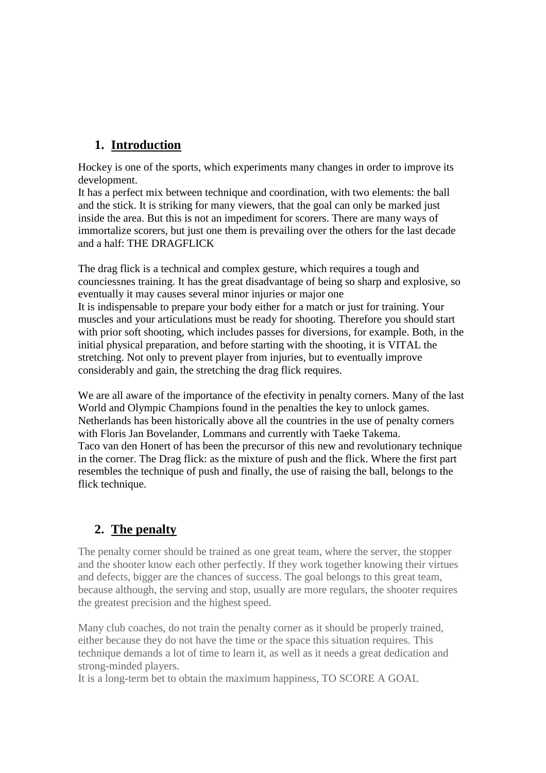## **1. Introduction**

Hockey is one of the sports, which experiments many changes in order to improve its development.

It has a perfect mix between technique and coordination, with two elements: the ball and the stick. It is striking for many viewers, that the goal can only be marked just inside the area. But this is not an impediment for scorers. There are many ways of immortalize scorers, but just one them is prevailing over the others for the last decade and a half: THE DRAGFLICK

The drag flick is a technical and complex gesture, which requires a tough and counciessnes training. It has the great disadvantage of being so sharp and explosive, so eventually it may causes several minor injuries or major one It is indispensable to prepare your body either for a match or just for training. Your muscles and your articulations must be ready for shooting. Therefore you should start with prior soft shooting, which includes passes for diversions, for example. Both, in the initial physical preparation, and before starting with the shooting, it is VITAL the stretching. Not only to prevent player from injuries, but to eventually improve considerably and gain, the stretching the drag flick requires.

We are all aware of the importance of the efectivity in penalty corners. Many of the last World and Olympic Champions found in the penalties the key to unlock games. Netherlands has been historically above all the countries in the use of penalty corners with Floris Jan Bovelander, Lommans and currently with Taeke Takema. Taco van den Honert of has been the precursor of this new and revolutionary technique in the corner. The Drag flick: as the mixture of push and the flick. Where the first part resembles the technique of push and finally, the use of raising the ball, belongs to the flick technique.

# **2. The penalty**

The penalty corner should be trained as one great team, where the server, the stopper and the shooter know each other perfectly. If they work together knowing their virtues and defects, bigger are the chances of success. The goal belongs to this great team, because although, the serving and stop, usually are more regulars, the shooter requires the greatest precision and the highest speed.

Many club coaches, do not train the penalty corner as it should be properly trained, either because they do not have the time or the space this situation requires. This technique demands a lot of time to learn it, as well as it needs a great dedication and strong-minded players.

It is a long-term bet to obtain the maximum happiness, TO SCORE A GOAL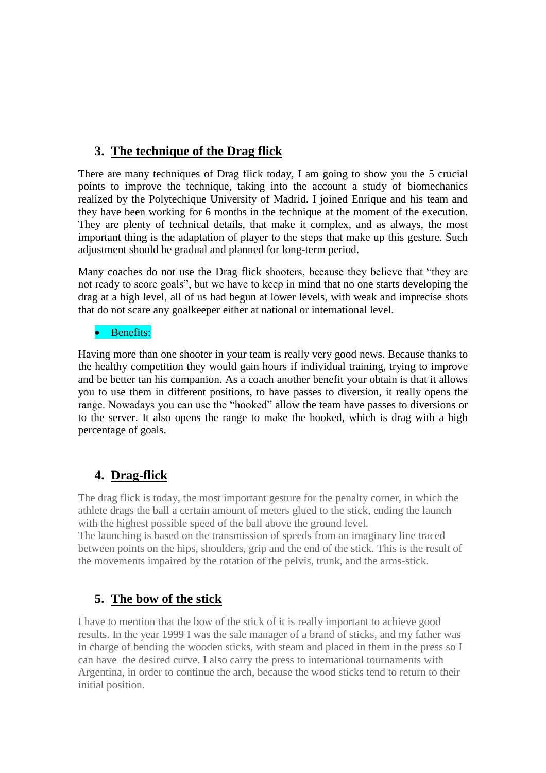# **3. The technique of the Drag flick**

There are many techniques of Drag flick today, I am going to show you the 5 crucial points to improve the technique, taking into the account a study of biomechanics realized by the Polytechique University of Madrid. I joined Enrique and his team and they have been working for 6 months in the technique at the moment of the execution. They are plenty of technical details, that make it complex, and as always, the most important thing is the adaptation of player to the steps that make up this gesture. Such adjustment should be gradual and planned for long-term period.

Many coaches do not use the Drag flick shooters, because they believe that "they are not ready to score goals", but we have to keep in mind that no one starts developing the drag at a high level, all of us had begun at lower levels, with weak and imprecise shots that do not scare any goalkeeper either at national or international level.

#### • Benefits:

Having more than one shooter in your team is really very good news. Because thanks to the healthy competition they would gain hours if individual training, trying to improve and be better tan his companion. As a coach another benefit your obtain is that it allows you to use them in different positions, to have passes to diversion, it really opens the range. Nowadays you can use the "hooked" allow the team have passes to diversions or to the server. It also opens the range to make the hooked, which is drag with a high percentage of goals.

## **4. Drag-flick**

The drag flick is today, the most important gesture for the penalty corner, in which the athlete drags the ball a certain amount of meters glued to the stick, ending the launch with the highest possible speed of the ball above the ground level.

The launching is based on the transmission of speeds from an imaginary line traced between points on the hips, shoulders, grip and the end of the stick. This is the result of the movements impaired by the rotation of the pelvis, trunk, and the arms-stick.

## **5. The bow of the stick**

I have to mention that the bow of the stick of it is really important to achieve good results. In the year 1999 I was the sale manager of a brand of sticks, and my father was in charge of bending the wooden sticks, with steam and placed in them in the press so I can have the desired curve. I also carry the press to international tournaments with Argentina, in order to continue the arch, because the wood sticks tend to return to their initial position.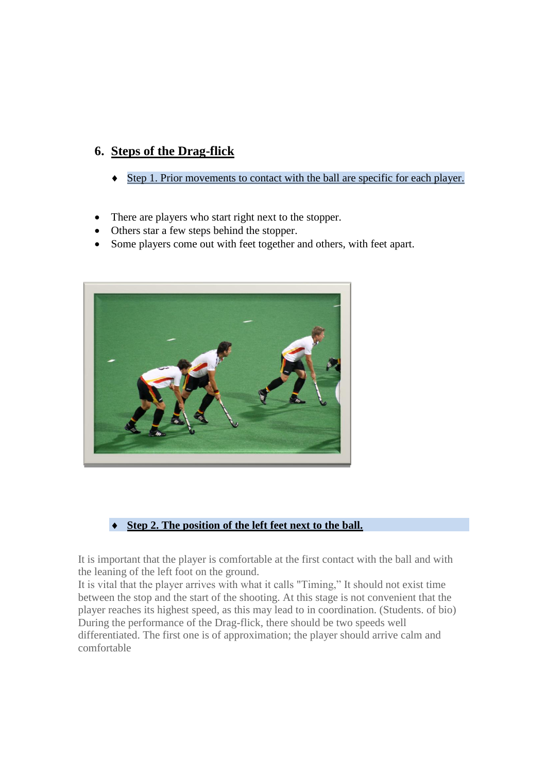## **6. Steps of the Drag-flick**

- Step 1. Prior movements to contact with the ball are specific for each player.
- There are players who start right next to the stopper.
- Others star a few steps behind the stopper.
- Some players come out with feet together and others, with feet apart.



#### **Step 2. The position of the left feet next to the ball.**

It is important that the player is comfortable at the first contact with the ball and with the leaning of the left foot on the ground.

It is vital that the player arrives with what it calls "Timing," It should not exist time between the stop and the start of the shooting. At this stage is not convenient that the player reaches its highest speed, as this may lead to in coordination. (Students. of bio) During the performance of the Drag-flick, there should be two speeds well differentiated. The first one is of approximation; the player should arrive calm and comfortable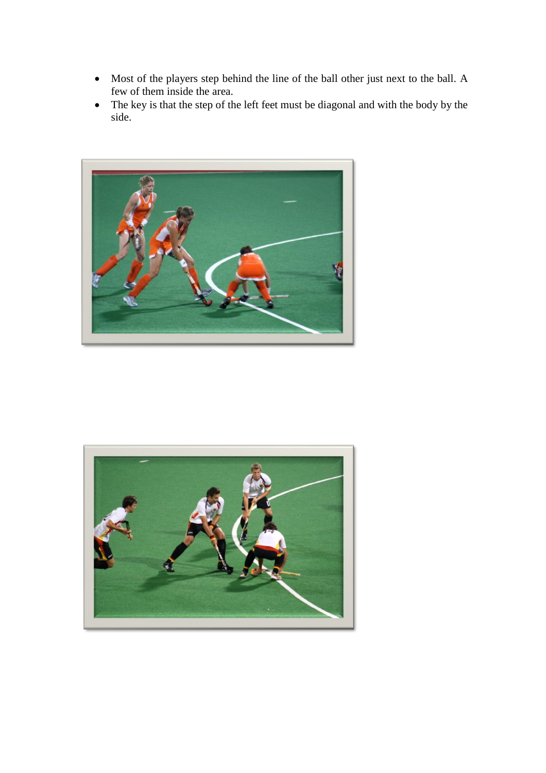- Most of the players step behind the line of the ball other just next to the ball. A few of them inside the area.
- The key is that the step of the left feet must be diagonal and with the body by the side.



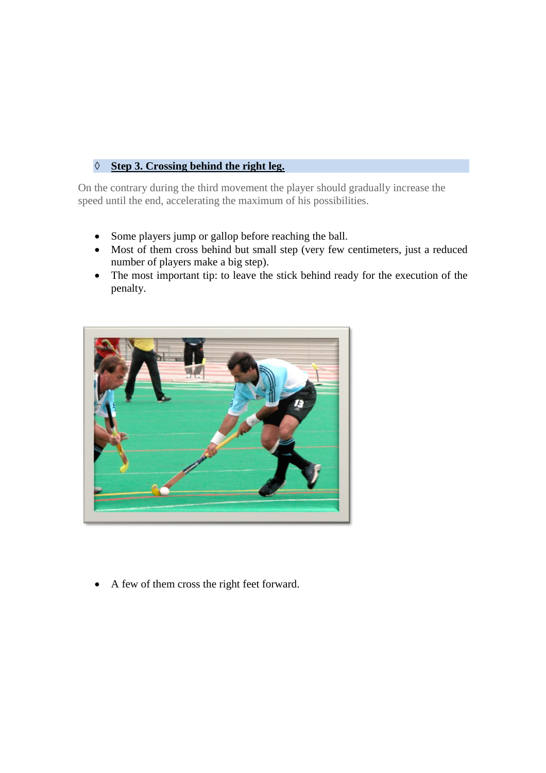### **Step 3. Crossing behind the right leg.**

On the contrary during the third movement the player should gradually increase the speed until the end, accelerating the maximum of his possibilities.

- Some players jump or gallop before reaching the ball.
- Most of them cross behind but small step (very few centimeters, just a reduced number of players make a big step).
- The most important tip: to leave the stick behind ready for the execution of the penalty.



A few of them cross the right feet forward.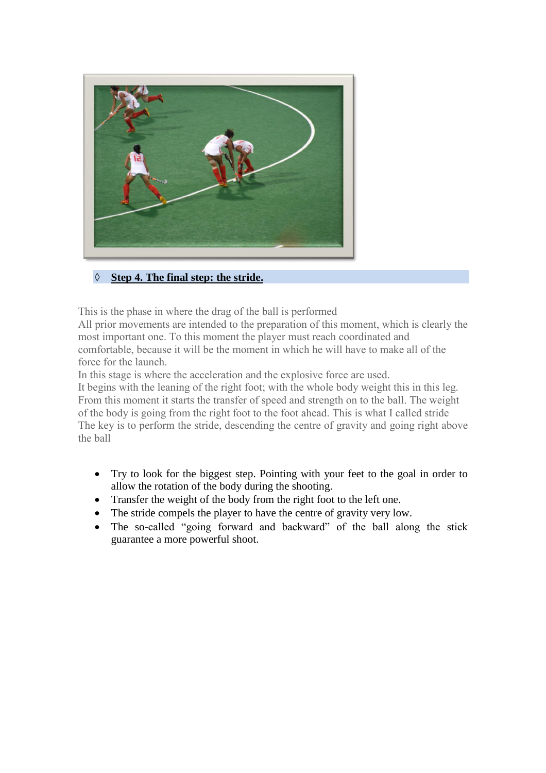

### **Step 4. The final step: the stride.**

This is the phase in where the drag of the ball is performed

All prior movements are intended to the preparation of this moment, which is clearly the most important one. To this moment the player must reach coordinated and comfortable, because it will be the moment in which he will have to make all of the force for the launch.

In this stage is where the acceleration and the explosive force are used.

It begins with the leaning of the right foot; with the whole body weight this in this leg. From this moment it starts the transfer of speed and strength on to the ball. The weight of the body is going from the right foot to the foot ahead. This is what I called stride The key is to perform the stride, descending the centre of gravity and going right above the ball

- Try to look for the biggest step. Pointing with your feet to the goal in order to allow the rotation of the body during the shooting.
- Transfer the weight of the body from the right foot to the left one.
- The stride compels the player to have the centre of gravity very low.
- The so-called "going forward and backward" of the ball along the stick guarantee a more powerful shoot.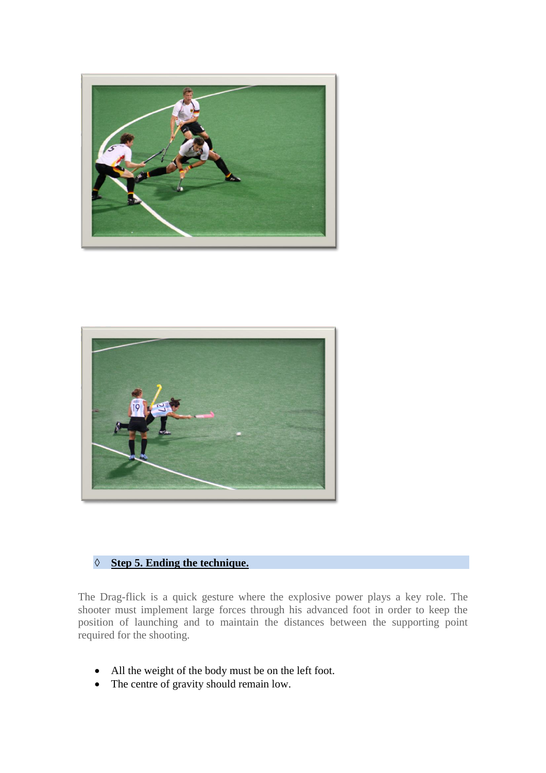



### **Step 5. Ending the technique.**

The Drag-flick is a quick gesture where the explosive power plays a key role. The shooter must implement large forces through his advanced foot in order to keep the position of launching and to maintain the distances between the supporting point required for the shooting.

- All the weight of the body must be on the left foot.
- The centre of gravity should remain low.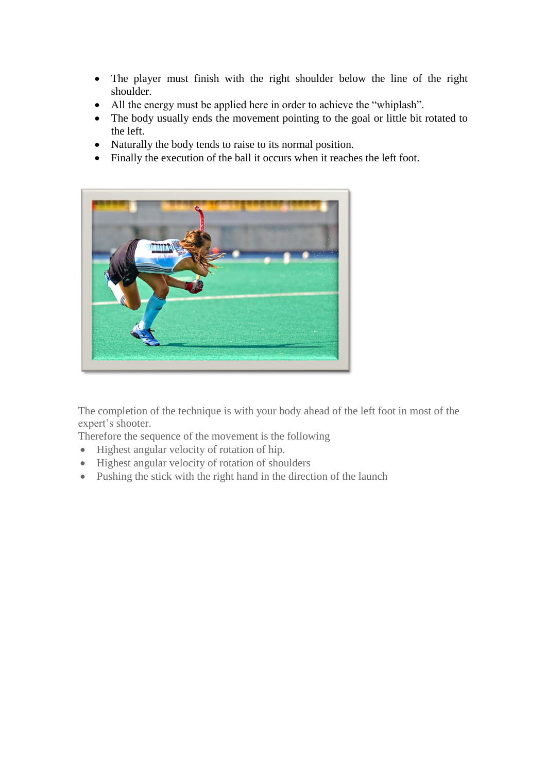- The player must finish with the right shoulder below the line of the right shoulder.
- All the energy must be applied here in order to achieve the "whiplash".
- The body usually ends the movement pointing to the goal or little bit rotated to the left.
- Naturally the body tends to raise to its normal position.
- Finally the execution of the ball it occurs when it reaches the left foot.



The completion of the technique is with your body ahead of the left foot in most of the expert's shooter.

Therefore the sequence of the movement is the following

- Highest angular velocity of rotation of hip.
- Highest angular velocity of rotation of shoulders
- Pushing the stick with the right hand in the direction of the launch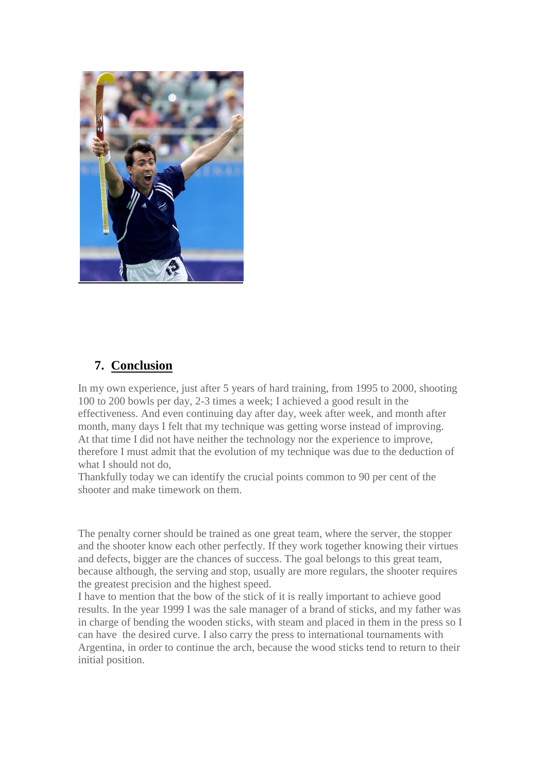

## **7. Conclusion**

In my own experience, just after 5 years of hard training, from 1995 to 2000, shooting 100 to 200 bowls per day, 2-3 times a week; I achieved a good result in the effectiveness. And even continuing day after day, week after week, and month after month, many days I felt that my technique was getting worse instead of improving. At that time I did not have neither the technology nor the experience to improve, therefore I must admit that the evolution of my technique was due to the deduction of what I should not do,

Thankfully today we can identify the crucial points common to 90 per cent of the shooter and make timework on them.

The penalty corner should be trained as one great team, where the server, the stopper and the shooter know each other perfectly. If they work together knowing their virtues and defects, bigger are the chances of success. The goal belongs to this great team, because although, the serving and stop, usually are more regulars, the shooter requires the greatest precision and the highest speed.

I have to mention that the bow of the stick of it is really important to achieve good results. In the year 1999 I was the sale manager of a brand of sticks, and my father was in charge of bending the wooden sticks, with steam and placed in them in the press so I can have the desired curve. I also carry the press to international tournaments with Argentina, in order to continue the arch, because the wood sticks tend to return to their initial position.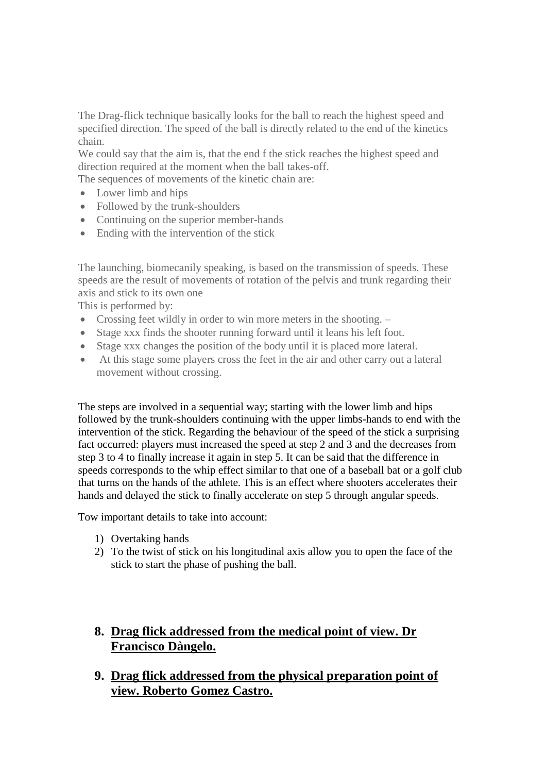The Drag-flick technique basically looks for the ball to reach the highest speed and specified direction. The speed of the ball is directly related to the end of the kinetics chain.

We could say that the aim is, that the end f the stick reaches the highest speed and direction required at the moment when the ball takes-off.

The sequences of movements of the kinetic chain are:

- Lower limb and hips
- Followed by the trunk-shoulders
- Continuing on the superior member-hands
- Ending with the intervention of the stick

The launching, biomecanily speaking, is based on the transmission of speeds. These speeds are the result of movements of rotation of the pelvis and trunk regarding their axis and stick to its own one

This is performed by:

- Crossing feet wildly in order to win more meters in the shooting. –
- Stage xxx finds the shooter running forward until it leans his left foot.
- Stage xxx changes the position of the body until it is placed more lateral.
- At this stage some players cross the feet in the air and other carry out a lateral movement without crossing.

The steps are involved in a sequential way; starting with the lower limb and hips followed by the trunk-shoulders continuing with the upper limbs-hands to end with the intervention of the stick. Regarding the behaviour of the speed of the stick a surprising fact occurred: players must increased the speed at step 2 and 3 and the decreases from step 3 to 4 to finally increase it again in step 5. It can be said that the difference in speeds corresponds to the whip effect similar to that one of a baseball bat or a golf club that turns on the hands of the athlete. This is an effect where shooters accelerates their hands and delayed the stick to finally accelerate on step 5 through angular speeds.

Tow important details to take into account:

- 1) Overtaking hands
- 2) To the twist of stick on his longitudinal axis allow you to open the face of the stick to start the phase of pushing the ball.
- **8. Drag flick addressed from the medical point of view. Dr Francisco Dàngelo.**
- **9. Drag flick addressed from the physical preparation point of view. Roberto Gomez Castro.**